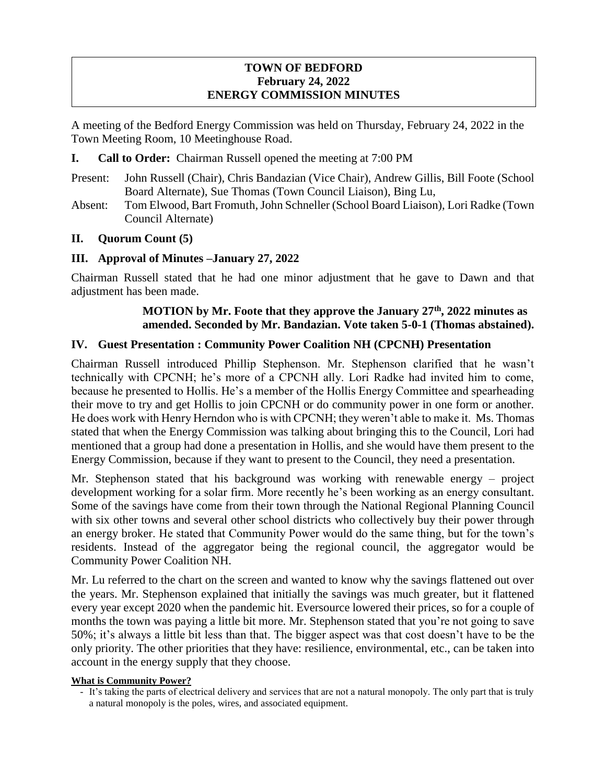## **TOWN OF BEDFORD February 24, 2022 ENERGY COMMISSION MINUTES**

A meeting of the Bedford Energy Commission was held on Thursday, February 24, 2022 in the Town Meeting Room, 10 Meetinghouse Road.

- **I. Call to Order:** Chairman Russell opened the meeting at 7:00 PM
- Present: John Russell (Chair), Chris Bandazian (Vice Chair), Andrew Gillis, Bill Foote (School Board Alternate), Sue Thomas (Town Council Liaison), Bing Lu,
- Absent: Tom Elwood, Bart Fromuth, John Schneller (School Board Liaison), Lori Radke (Town Council Alternate)

## **II. Quorum Count (5)**

## **III. Approval of Minutes –January 27, 2022**

Chairman Russell stated that he had one minor adjustment that he gave to Dawn and that adjustment has been made.

## **MOTION by Mr. Foote that they approve the January 27th, 2022 minutes as amended. Seconded by Mr. Bandazian. Vote taken 5-0-1 (Thomas abstained).**

## **IV. Guest Presentation : Community Power Coalition NH (CPCNH) Presentation**

Chairman Russell introduced Phillip Stephenson. Mr. Stephenson clarified that he wasn't technically with CPCNH; he's more of a CPCNH ally. Lori Radke had invited him to come, because he presented to Hollis. He's a member of the Hollis Energy Committee and spearheading their move to try and get Hollis to join CPCNH or do community power in one form or another. He does work with Henry Herndon who is with CPCNH; they weren't able to make it. Ms. Thomas stated that when the Energy Commission was talking about bringing this to the Council, Lori had mentioned that a group had done a presentation in Hollis, and she would have them present to the Energy Commission, because if they want to present to the Council, they need a presentation.

Mr. Stephenson stated that his background was working with renewable energy – project development working for a solar firm. More recently he's been working as an energy consultant. Some of the savings have come from their town through the National Regional Planning Council with six other towns and several other school districts who collectively buy their power through an energy broker. He stated that Community Power would do the same thing, but for the town's residents. Instead of the aggregator being the regional council, the aggregator would be Community Power Coalition NH.

Mr. Lu referred to the chart on the screen and wanted to know why the savings flattened out over the years. Mr. Stephenson explained that initially the savings was much greater, but it flattened every year except 2020 when the pandemic hit. Eversource lowered their prices, so for a couple of months the town was paying a little bit more. Mr. Stephenson stated that you're not going to save 50%; it's always a little bit less than that. The bigger aspect was that cost doesn't have to be the only priority. The other priorities that they have: resilience, environmental, etc., can be taken into account in the energy supply that they choose.

### **What is Community Power?**

<sup>-</sup> It's taking the parts of electrical delivery and services that are not a natural monopoly. The only part that is truly a natural monopoly is the poles, wires, and associated equipment.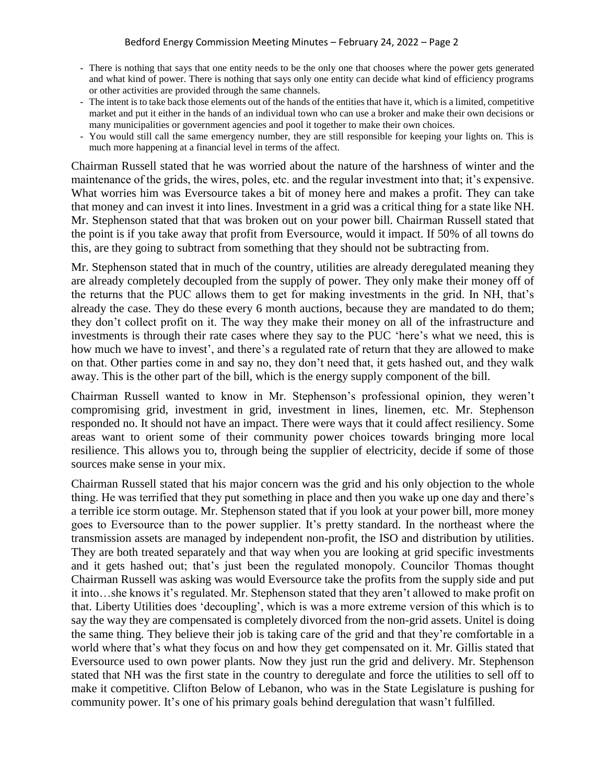- There is nothing that says that one entity needs to be the only one that chooses where the power gets generated and what kind of power. There is nothing that says only one entity can decide what kind of efficiency programs or other activities are provided through the same channels.
- The intent is to take back those elements out of the hands of the entities that have it, which is a limited, competitive market and put it either in the hands of an individual town who can use a broker and make their own decisions or many municipalities or government agencies and pool it together to make their own choices.
- You would still call the same emergency number, they are still responsible for keeping your lights on. This is much more happening at a financial level in terms of the affect.

Chairman Russell stated that he was worried about the nature of the harshness of winter and the maintenance of the grids, the wires, poles, etc. and the regular investment into that; it's expensive. What worries him was Eversource takes a bit of money here and makes a profit. They can take that money and can invest it into lines. Investment in a grid was a critical thing for a state like NH. Mr. Stephenson stated that that was broken out on your power bill. Chairman Russell stated that the point is if you take away that profit from Eversource, would it impact. If 50% of all towns do this, are they going to subtract from something that they should not be subtracting from.

Mr. Stephenson stated that in much of the country, utilities are already deregulated meaning they are already completely decoupled from the supply of power. They only make their money off of the returns that the PUC allows them to get for making investments in the grid. In NH, that's already the case. They do these every 6 month auctions, because they are mandated to do them; they don't collect profit on it. The way they make their money on all of the infrastructure and investments is through their rate cases where they say to the PUC 'here's what we need, this is how much we have to invest', and there's a regulated rate of return that they are allowed to make on that. Other parties come in and say no, they don't need that, it gets hashed out, and they walk away. This is the other part of the bill, which is the energy supply component of the bill.

Chairman Russell wanted to know in Mr. Stephenson's professional opinion, they weren't compromising grid, investment in grid, investment in lines, linemen, etc. Mr. Stephenson responded no. It should not have an impact. There were ways that it could affect resiliency. Some areas want to orient some of their community power choices towards bringing more local resilience. This allows you to, through being the supplier of electricity, decide if some of those sources make sense in your mix.

Chairman Russell stated that his major concern was the grid and his only objection to the whole thing. He was terrified that they put something in place and then you wake up one day and there's a terrible ice storm outage. Mr. Stephenson stated that if you look at your power bill, more money goes to Eversource than to the power supplier. It's pretty standard. In the northeast where the transmission assets are managed by independent non-profit, the ISO and distribution by utilities. They are both treated separately and that way when you are looking at grid specific investments and it gets hashed out; that's just been the regulated monopoly. Councilor Thomas thought Chairman Russell was asking was would Eversource take the profits from the supply side and put it into…she knows it's regulated. Mr. Stephenson stated that they aren't allowed to make profit on that. Liberty Utilities does 'decoupling', which is was a more extreme version of this which is to say the way they are compensated is completely divorced from the non-grid assets. Unitel is doing the same thing. They believe their job is taking care of the grid and that they're comfortable in a world where that's what they focus on and how they get compensated on it. Mr. Gillis stated that Eversource used to own power plants. Now they just run the grid and delivery. Mr. Stephenson stated that NH was the first state in the country to deregulate and force the utilities to sell off to make it competitive. Clifton Below of Lebanon, who was in the State Legislature is pushing for community power. It's one of his primary goals behind deregulation that wasn't fulfilled.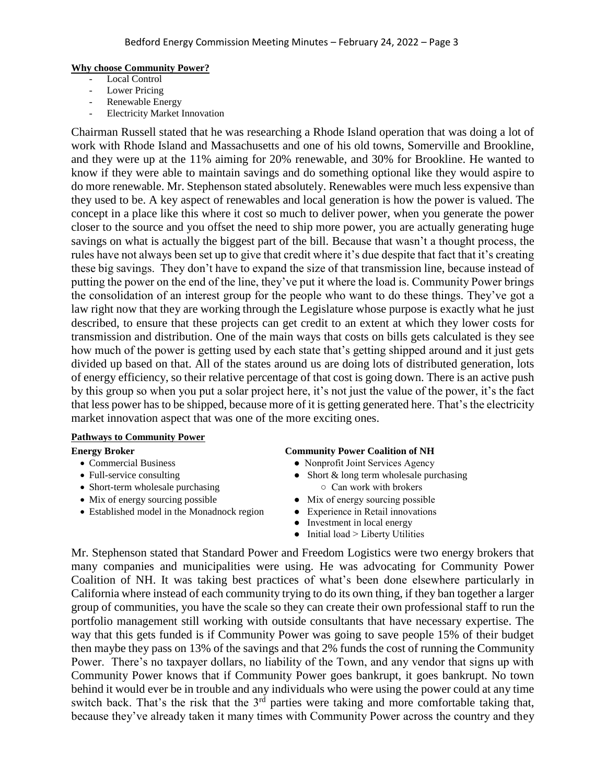#### **Why choose Community Power?**

- Local Control
- Lower Pricing
- Renewable Energy
- **Electricity Market Innovation**

Chairman Russell stated that he was researching a Rhode Island operation that was doing a lot of work with Rhode Island and Massachusetts and one of his old towns, Somerville and Brookline, and they were up at the 11% aiming for 20% renewable, and 30% for Brookline. He wanted to know if they were able to maintain savings and do something optional like they would aspire to do more renewable. Mr. Stephenson stated absolutely. Renewables were much less expensive than they used to be. A key aspect of renewables and local generation is how the power is valued. The concept in a place like this where it cost so much to deliver power, when you generate the power closer to the source and you offset the need to ship more power, you are actually generating huge savings on what is actually the biggest part of the bill. Because that wasn't a thought process, the rules have not always been set up to give that credit where it's due despite that fact that it's creating these big savings. They don't have to expand the size of that transmission line, because instead of putting the power on the end of the line, they've put it where the load is. Community Power brings the consolidation of an interest group for the people who want to do these things. They've got a law right now that they are working through the Legislature whose purpose is exactly what he just described, to ensure that these projects can get credit to an extent at which they lower costs for transmission and distribution. One of the main ways that costs on bills gets calculated is they see how much of the power is getting used by each state that's getting shipped around and it just gets divided up based on that. All of the states around us are doing lots of distributed generation, lots of energy efficiency, so their relative percentage of that cost is going down. There is an active push by this group so when you put a solar project here, it's not just the value of the power, it's the fact that less power has to be shipped, because more of it is getting generated here. That's the electricity market innovation aspect that was one of the more exciting ones.

### **Pathways to Community Power**

- 
- 
- Short-term wholesale purchasing  $\circ$  Can work with brokers
- 
- Established model in the Monadnock region Experience in Retail innovations

#### **Energy Broker Community Power Coalition of NH**

- Commercial Business Nonprofit Joint Services Agency
- Full-service consulting  $\bullet$  Short & long term wholesale purchasing
- Mix of energy sourcing possible Mix of energy sourcing possible
	-
	- Investment in local energy
	- $\bullet$  Initial load > Liberty Utilities

Mr. Stephenson stated that Standard Power and Freedom Logistics were two energy brokers that many companies and municipalities were using. He was advocating for Community Power Coalition of NH. It was taking best practices of what's been done elsewhere particularly in California where instead of each community trying to do its own thing, if they ban together a larger group of communities, you have the scale so they can create their own professional staff to run the portfolio management still working with outside consultants that have necessary expertise. The way that this gets funded is if Community Power was going to save people 15% of their budget then maybe they pass on 13% of the savings and that 2% funds the cost of running the Community Power. There's no taxpayer dollars, no liability of the Town, and any vendor that signs up with Community Power knows that if Community Power goes bankrupt, it goes bankrupt. No town behind it would ever be in trouble and any individuals who were using the power could at any time switch back. That's the risk that the  $3<sup>rd</sup>$  parties were taking and more comfortable taking that, because they've already taken it many times with Community Power across the country and they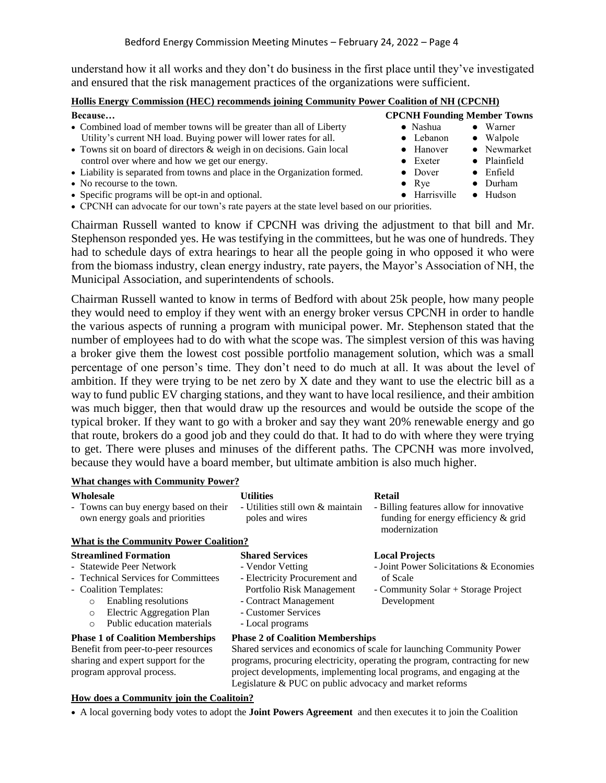understand how it all works and they don't do business in the first place until they've investigated and ensured that the risk management practices of the organizations were sufficient.

#### **Hollis Energy Commission (HEC) recommends joining Community Power Coalition of NH (CPCNH)**

| Because                                                                   | <b>CPCNH Founding Member Towns</b> |                   |
|---------------------------------------------------------------------------|------------------------------------|-------------------|
| • Combined load of member towns will be greater than all of Liberty       | $\bullet$ Nashua                   | $\bullet$ Warner  |
| Utility's current NH load. Buying power will lower rates for all.         | $\bullet$ Lebanon                  | $\bullet$ Walpole |
| • Towns sit on board of directors & weigh in on decisions. Gain local     | $\bullet$ Hanover                  | • Newmarket       |
| control over where and how we get our energy.                             | $\bullet$ Exeter                   | • Plainfield      |
| • Liability is separated from towns and place in the Organization formed. | $\bullet$ Dover                    | $\bullet$ Enfield |
| • No recourse to the town.                                                | $\bullet$ Rye                      | $\bullet$ Durham  |
| • Specific programs will be opt-in and optional.                          | • Harrisville                      | $\bullet$ Hudson  |

CPCNH can advocate for our town's rate payers at the state level based on our priorities.

Chairman Russell wanted to know if CPCNH was driving the adjustment to that bill and Mr. Stephenson responded yes. He was testifying in the committees, but he was one of hundreds. They had to schedule days of extra hearings to hear all the people going in who opposed it who were from the biomass industry, clean energy industry, rate payers, the Mayor's Association of NH, the Municipal Association, and superintendents of schools.

Chairman Russell wanted to know in terms of Bedford with about 25k people, how many people they would need to employ if they went with an energy broker versus CPCNH in order to handle the various aspects of running a program with municipal power. Mr. Stephenson stated that the number of employees had to do with what the scope was. The simplest version of this was having a broker give them the lowest cost possible portfolio management solution, which was a small percentage of one person's time. They don't need to do much at all. It was about the level of ambition. If they were trying to be net zero by X date and they want to use the electric bill as a way to fund public EV charging stations, and they want to have local resilience, and their ambition was much bigger, then that would draw up the resources and would be outside the scope of the typical broker. If they want to go with a broker and say they want 20% renewable energy and go that route, brokers do a good job and they could do that. It had to do with where they were trying to get. There were pluses and minuses of the different paths. The CPCNH was more involved, because they would have a board member, but ultimate ambition is also much higher.

| <b>What changes with Community Power?</b>                                                                                                                                                                                                     |                                                                                                                                                                                                                                                                          |                                                                                                                                    |  |  |
|-----------------------------------------------------------------------------------------------------------------------------------------------------------------------------------------------------------------------------------------------|--------------------------------------------------------------------------------------------------------------------------------------------------------------------------------------------------------------------------------------------------------------------------|------------------------------------------------------------------------------------------------------------------------------------|--|--|
| Wholesale<br>- Towns can buy energy based on their<br>own energy goals and priorities                                                                                                                                                         | <b>Utilities</b><br>- Utilities still own & maintain<br>poles and wires                                                                                                                                                                                                  | Retail<br>- Billing features allow for innovative<br>funding for energy efficiency & grid<br>modernization                         |  |  |
| <b>What is the Community Power Coalition?</b>                                                                                                                                                                                                 |                                                                                                                                                                                                                                                                          |                                                                                                                                    |  |  |
| <b>Streamlined Formation</b><br>- Statewide Peer Network<br>- Technical Services for Committees<br>- Coalition Templates:<br>Enabling resolutions<br>$\circ$<br>Electric Aggregation Plan<br>$\circ$<br>Public education materials<br>$\circ$ | <b>Shared Services</b><br>- Vendor Vetting<br>- Electricity Procurement and<br>Portfolio Risk Management<br>- Contract Management<br>- Customer Services<br>- Local programs                                                                                             | <b>Local Projects</b><br>- Joint Power Solicitations & Economies<br>of Scale<br>- Community Solar + Storage Project<br>Development |  |  |
| <b>Phase 1 of Coalition Memberships</b><br>Benefit from peer-to-peer resources<br>sharing and expert support for the<br>program approval process.                                                                                             | <b>Phase 2 of Coalition Memberships</b><br>Shared services and economics of scale for launching Community Power<br>programs, procuring electricity, operating the program, contracting for new<br>project developments, implementing local programs, and engaging at the |                                                                                                                                    |  |  |

**How does a Community join the Coalitoin?**

A local governing body votes to adopt the **Joint Powers Agreement** and then executes it to join the Coalition

Legislature & PUC on public advocacy and market reforms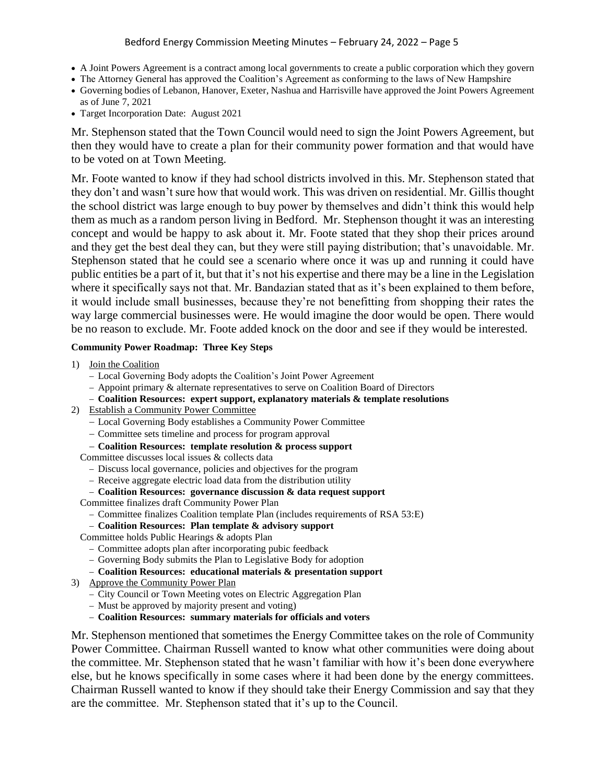- A Joint Powers Agreement is a contract among local governments to create a public corporation which they govern
- The Attorney General has approved the Coalition's Agreement as conforming to the laws of New Hampshire
- Governing bodies of Lebanon, Hanover, Exeter, Nashua and Harrisville have approved the Joint Powers Agreement as of June 7, 2021
- Target Incorporation Date: August 2021

Mr. Stephenson stated that the Town Council would need to sign the Joint Powers Agreement, but then they would have to create a plan for their community power formation and that would have to be voted on at Town Meeting.

Mr. Foote wanted to know if they had school districts involved in this. Mr. Stephenson stated that they don't and wasn't sure how that would work. This was driven on residential. Mr. Gillis thought the school district was large enough to buy power by themselves and didn't think this would help them as much as a random person living in Bedford. Mr. Stephenson thought it was an interesting concept and would be happy to ask about it. Mr. Foote stated that they shop their prices around and they get the best deal they can, but they were still paying distribution; that's unavoidable. Mr. Stephenson stated that he could see a scenario where once it was up and running it could have public entities be a part of it, but that it's not his expertise and there may be a line in the Legislation where it specifically says not that. Mr. Bandazian stated that as it's been explained to them before, it would include small businesses, because they're not benefitting from shopping their rates the way large commercial businesses were. He would imagine the door would be open. There would be no reason to exclude. Mr. Foote added knock on the door and see if they would be interested.

### **Community Power Roadmap: Three Key Steps**

- 1) Join the Coalition
	- Local Governing Body adopts the Coalition's Joint Power Agreement
	- $-$  Appoint primary  $\&$  alternate representatives to serve on Coalition Board of Directors
	- **Coalition Resources: expert support, explanatory materials & template resolutions**
- 2) Establish a Community Power Committee
	- Local Governing Body establishes a Community Power Committee
	- Committee sets timeline and process for program approval
	- **Coalition Resources: template resolution & process support**

Committee discusses local issues & collects data

- Discuss local governance, policies and objectives for the program
- Receive aggregate electric load data from the distribution utility

#### **Coalition Resources: governance discussion & data request support**

Committee finalizes draft Community Power Plan

- Committee finalizes Coalition template Plan (includes requirements of RSA 53:E)
- **Coalition Resources: Plan template & advisory support**

Committee holds Public Hearings & adopts Plan

- Committee adopts plan after incorporating pubic feedback
- Governing Body submits the Plan to Legislative Body for adoption
- **Coalition Resources: educational materials & presentation support**
- 3) Approve the Community Power Plan
	- City Council or Town Meeting votes on Electric Aggregation Plan
	- Must be approved by majority present and voting)
	- **Coalition Resources: summary materials for officials and voters**

Mr. Stephenson mentioned that sometimes the Energy Committee takes on the role of Community Power Committee. Chairman Russell wanted to know what other communities were doing about the committee. Mr. Stephenson stated that he wasn't familiar with how it's been done everywhere else, but he knows specifically in some cases where it had been done by the energy committees. Chairman Russell wanted to know if they should take their Energy Commission and say that they are the committee. Mr. Stephenson stated that it's up to the Council.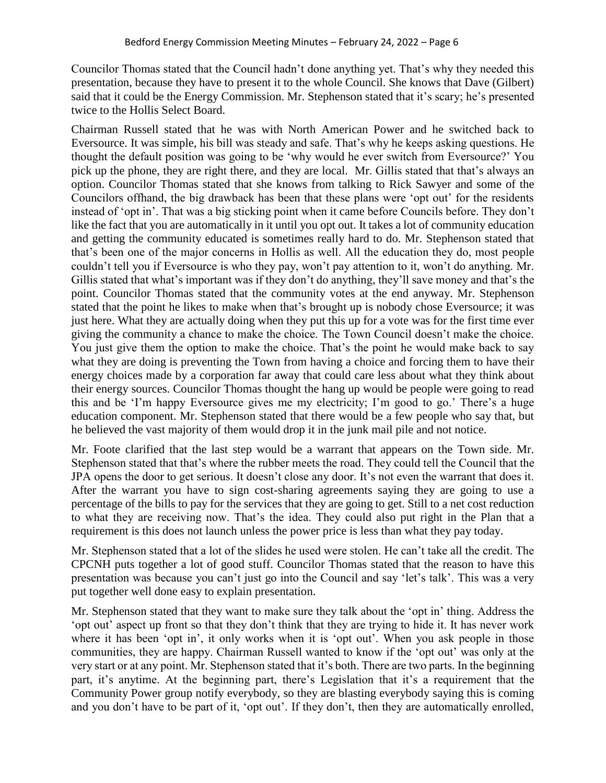Councilor Thomas stated that the Council hadn't done anything yet. That's why they needed this presentation, because they have to present it to the whole Council. She knows that Dave (Gilbert) said that it could be the Energy Commission. Mr. Stephenson stated that it's scary; he's presented twice to the Hollis Select Board.

Chairman Russell stated that he was with North American Power and he switched back to Eversource. It was simple, his bill was steady and safe. That's why he keeps asking questions. He thought the default position was going to be 'why would he ever switch from Eversource?' You pick up the phone, they are right there, and they are local. Mr. Gillis stated that that's always an option. Councilor Thomas stated that she knows from talking to Rick Sawyer and some of the Councilors offhand, the big drawback has been that these plans were 'opt out' for the residents instead of 'opt in'. That was a big sticking point when it came before Councils before. They don't like the fact that you are automatically in it until you opt out. It takes a lot of community education and getting the community educated is sometimes really hard to do. Mr. Stephenson stated that that's been one of the major concerns in Hollis as well. All the education they do, most people couldn't tell you if Eversource is who they pay, won't pay attention to it, won't do anything. Mr. Gillis stated that what's important was if they don't do anything, they'll save money and that's the point. Councilor Thomas stated that the community votes at the end anyway. Mr. Stephenson stated that the point he likes to make when that's brought up is nobody chose Eversource; it was just here. What they are actually doing when they put this up for a vote was for the first time ever giving the community a chance to make the choice. The Town Council doesn't make the choice. You just give them the option to make the choice. That's the point he would make back to say what they are doing is preventing the Town from having a choice and forcing them to have their energy choices made by a corporation far away that could care less about what they think about their energy sources. Councilor Thomas thought the hang up would be people were going to read this and be 'I'm happy Eversource gives me my electricity; I'm good to go.' There's a huge education component. Mr. Stephenson stated that there would be a few people who say that, but he believed the vast majority of them would drop it in the junk mail pile and not notice.

Mr. Foote clarified that the last step would be a warrant that appears on the Town side. Mr. Stephenson stated that that's where the rubber meets the road. They could tell the Council that the JPA opens the door to get serious. It doesn't close any door. It's not even the warrant that does it. After the warrant you have to sign cost-sharing agreements saying they are going to use a percentage of the bills to pay for the services that they are going to get. Still to a net cost reduction to what they are receiving now. That's the idea. They could also put right in the Plan that a requirement is this does not launch unless the power price is less than what they pay today.

Mr. Stephenson stated that a lot of the slides he used were stolen. He can't take all the credit. The CPCNH puts together a lot of good stuff. Councilor Thomas stated that the reason to have this presentation was because you can't just go into the Council and say 'let's talk'. This was a very put together well done easy to explain presentation.

Mr. Stephenson stated that they want to make sure they talk about the 'opt in' thing. Address the 'opt out' aspect up front so that they don't think that they are trying to hide it. It has never work where it has been 'opt in', it only works when it is 'opt out'. When you ask people in those communities, they are happy. Chairman Russell wanted to know if the 'opt out' was only at the very start or at any point. Mr. Stephenson stated that it's both. There are two parts. In the beginning part, it's anytime. At the beginning part, there's Legislation that it's a requirement that the Community Power group notify everybody, so they are blasting everybody saying this is coming and you don't have to be part of it, 'opt out'. If they don't, then they are automatically enrolled,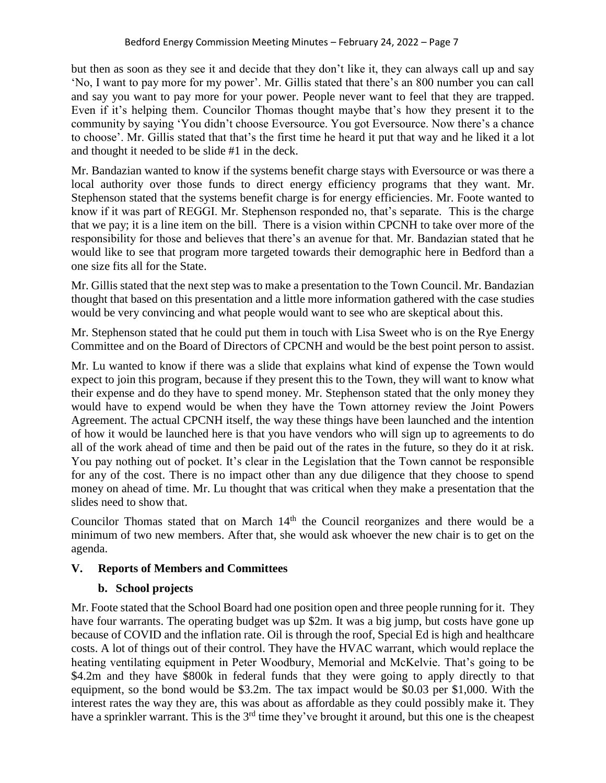but then as soon as they see it and decide that they don't like it, they can always call up and say 'No, I want to pay more for my power'. Mr. Gillis stated that there's an 800 number you can call and say you want to pay more for your power. People never want to feel that they are trapped. Even if it's helping them. Councilor Thomas thought maybe that's how they present it to the community by saying 'You didn't choose Eversource. You got Eversource. Now there's a chance to choose'. Mr. Gillis stated that that's the first time he heard it put that way and he liked it a lot and thought it needed to be slide #1 in the deck.

Mr. Bandazian wanted to know if the systems benefit charge stays with Eversource or was there a local authority over those funds to direct energy efficiency programs that they want. Mr. Stephenson stated that the systems benefit charge is for energy efficiencies. Mr. Foote wanted to know if it was part of REGGI. Mr. Stephenson responded no, that's separate. This is the charge that we pay; it is a line item on the bill. There is a vision within CPCNH to take over more of the responsibility for those and believes that there's an avenue for that. Mr. Bandazian stated that he would like to see that program more targeted towards their demographic here in Bedford than a one size fits all for the State.

Mr. Gillis stated that the next step was to make a presentation to the Town Council. Mr. Bandazian thought that based on this presentation and a little more information gathered with the case studies would be very convincing and what people would want to see who are skeptical about this.

Mr. Stephenson stated that he could put them in touch with Lisa Sweet who is on the Rye Energy Committee and on the Board of Directors of CPCNH and would be the best point person to assist.

Mr. Lu wanted to know if there was a slide that explains what kind of expense the Town would expect to join this program, because if they present this to the Town, they will want to know what their expense and do they have to spend money. Mr. Stephenson stated that the only money they would have to expend would be when they have the Town attorney review the Joint Powers Agreement. The actual CPCNH itself, the way these things have been launched and the intention of how it would be launched here is that you have vendors who will sign up to agreements to do all of the work ahead of time and then be paid out of the rates in the future, so they do it at risk. You pay nothing out of pocket. It's clear in the Legislation that the Town cannot be responsible for any of the cost. There is no impact other than any due diligence that they choose to spend money on ahead of time. Mr. Lu thought that was critical when they make a presentation that the slides need to show that.

Councilor Thomas stated that on March 14<sup>th</sup> the Council reorganizes and there would be a minimum of two new members. After that, she would ask whoever the new chair is to get on the agenda.

# **V. Reports of Members and Committees**

# **b. School projects**

Mr. Foote stated that the School Board had one position open and three people running for it. They have four warrants. The operating budget was up \$2m. It was a big jump, but costs have gone up because of COVID and the inflation rate. Oil is through the roof, Special Ed is high and healthcare costs. A lot of things out of their control. They have the HVAC warrant, which would replace the heating ventilating equipment in Peter Woodbury, Memorial and McKelvie. That's going to be \$4.2m and they have \$800k in federal funds that they were going to apply directly to that equipment, so the bond would be \$3.2m. The tax impact would be \$0.03 per \$1,000. With the interest rates the way they are, this was about as affordable as they could possibly make it. They have a sprinkler warrant. This is the 3<sup>rd</sup> time they've brought it around, but this one is the cheapest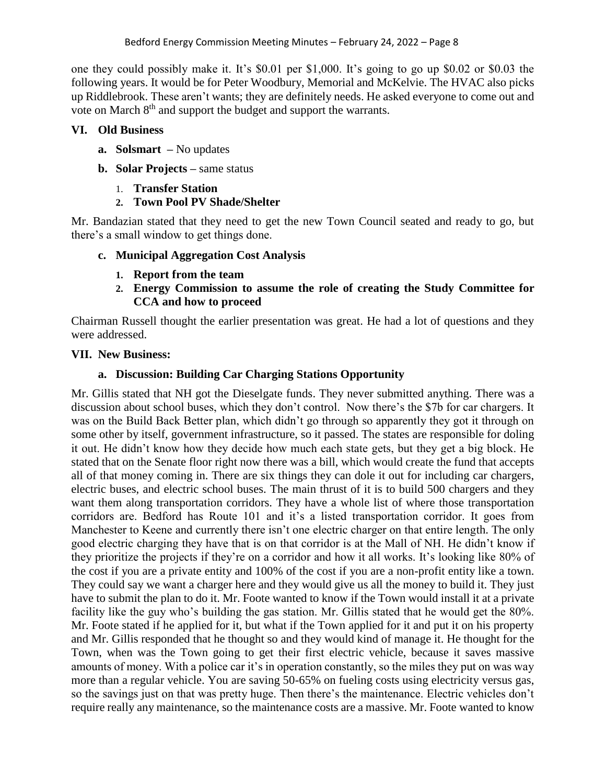one they could possibly make it. It's \$0.01 per \$1,000. It's going to go up \$0.02 or \$0.03 the following years. It would be for Peter Woodbury, Memorial and McKelvie. The HVAC also picks up Riddlebrook. These aren't wants; they are definitely needs. He asked everyone to come out and vote on March 8th and support the budget and support the warrants.

## **VI. Old Business**

- **a. Solsmart –** No updates
- **b. Solar Projects –** same status
	- 1. **Transfer Station**
	- **2. Town Pool PV Shade/Shelter**

Mr. Bandazian stated that they need to get the new Town Council seated and ready to go, but there's a small window to get things done.

## **c. Municipal Aggregation Cost Analysis**

- **1. Report from the team**
- **2. Energy Commission to assume the role of creating the Study Committee for CCA and how to proceed**

Chairman Russell thought the earlier presentation was great. He had a lot of questions and they were addressed.

## **VII. New Business:**

## **a. Discussion: Building Car Charging Stations Opportunity**

Mr. Gillis stated that NH got the Dieselgate funds. They never submitted anything. There was a discussion about school buses, which they don't control. Now there's the \$7b for car chargers. It was on the Build Back Better plan, which didn't go through so apparently they got it through on some other by itself, government infrastructure, so it passed. The states are responsible for doling it out. He didn't know how they decide how much each state gets, but they get a big block. He stated that on the Senate floor right now there was a bill, which would create the fund that accepts all of that money coming in. There are six things they can dole it out for including car chargers, electric buses, and electric school buses. The main thrust of it is to build 500 chargers and they want them along transportation corridors. They have a whole list of where those transportation corridors are. Bedford has Route 101 and it's a listed transportation corridor. It goes from Manchester to Keene and currently there isn't one electric charger on that entire length. The only good electric charging they have that is on that corridor is at the Mall of NH. He didn't know if they prioritize the projects if they're on a corridor and how it all works. It's looking like 80% of the cost if you are a private entity and 100% of the cost if you are a non-profit entity like a town. They could say we want a charger here and they would give us all the money to build it. They just have to submit the plan to do it. Mr. Foote wanted to know if the Town would install it at a private facility like the guy who's building the gas station. Mr. Gillis stated that he would get the 80%. Mr. Foote stated if he applied for it, but what if the Town applied for it and put it on his property and Mr. Gillis responded that he thought so and they would kind of manage it. He thought for the Town, when was the Town going to get their first electric vehicle, because it saves massive amounts of money. With a police car it's in operation constantly, so the miles they put on was way more than a regular vehicle. You are saving 50-65% on fueling costs using electricity versus gas, so the savings just on that was pretty huge. Then there's the maintenance. Electric vehicles don't require really any maintenance, so the maintenance costs are a massive. Mr. Foote wanted to know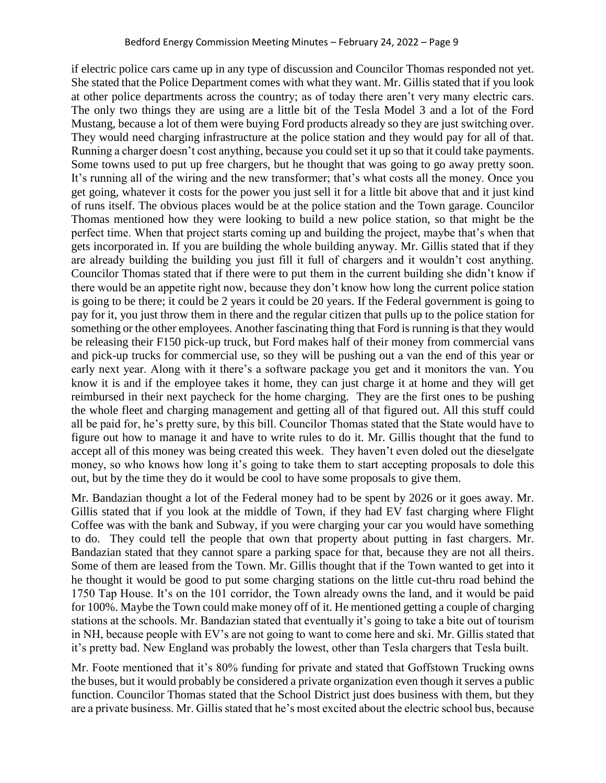if electric police cars came up in any type of discussion and Councilor Thomas responded not yet. She stated that the Police Department comes with what they want. Mr. Gillis stated that if you look at other police departments across the country; as of today there aren't very many electric cars. The only two things they are using are a little bit of the Tesla Model 3 and a lot of the Ford Mustang, because a lot of them were buying Ford products already so they are just switching over. They would need charging infrastructure at the police station and they would pay for all of that. Running a charger doesn't cost anything, because you could set it up so that it could take payments. Some towns used to put up free chargers, but he thought that was going to go away pretty soon. It's running all of the wiring and the new transformer; that's what costs all the money. Once you get going, whatever it costs for the power you just sell it for a little bit above that and it just kind of runs itself. The obvious places would be at the police station and the Town garage. Councilor Thomas mentioned how they were looking to build a new police station, so that might be the perfect time. When that project starts coming up and building the project, maybe that's when that gets incorporated in. If you are building the whole building anyway. Mr. Gillis stated that if they are already building the building you just fill it full of chargers and it wouldn't cost anything. Councilor Thomas stated that if there were to put them in the current building she didn't know if there would be an appetite right now, because they don't know how long the current police station is going to be there; it could be 2 years it could be 20 years. If the Federal government is going to pay for it, you just throw them in there and the regular citizen that pulls up to the police station for something or the other employees. Another fascinating thing that Ford is running is that they would be releasing their F150 pick-up truck, but Ford makes half of their money from commercial vans and pick-up trucks for commercial use, so they will be pushing out a van the end of this year or early next year. Along with it there's a software package you get and it monitors the van. You know it is and if the employee takes it home, they can just charge it at home and they will get reimbursed in their next paycheck for the home charging. They are the first ones to be pushing the whole fleet and charging management and getting all of that figured out. All this stuff could all be paid for, he's pretty sure, by this bill. Councilor Thomas stated that the State would have to figure out how to manage it and have to write rules to do it. Mr. Gillis thought that the fund to accept all of this money was being created this week. They haven't even doled out the dieselgate money, so who knows how long it's going to take them to start accepting proposals to dole this out, but by the time they do it would be cool to have some proposals to give them.

Mr. Bandazian thought a lot of the Federal money had to be spent by 2026 or it goes away. Mr. Gillis stated that if you look at the middle of Town, if they had EV fast charging where Flight Coffee was with the bank and Subway, if you were charging your car you would have something to do. They could tell the people that own that property about putting in fast chargers. Mr. Bandazian stated that they cannot spare a parking space for that, because they are not all theirs. Some of them are leased from the Town. Mr. Gillis thought that if the Town wanted to get into it he thought it would be good to put some charging stations on the little cut-thru road behind the 1750 Tap House. It's on the 101 corridor, the Town already owns the land, and it would be paid for 100%. Maybe the Town could make money off of it. He mentioned getting a couple of charging stations at the schools. Mr. Bandazian stated that eventually it's going to take a bite out of tourism in NH, because people with EV's are not going to want to come here and ski. Mr. Gillis stated that it's pretty bad. New England was probably the lowest, other than Tesla chargers that Tesla built.

Mr. Foote mentioned that it's 80% funding for private and stated that Goffstown Trucking owns the buses, but it would probably be considered a private organization even though it serves a public function. Councilor Thomas stated that the School District just does business with them, but they are a private business. Mr. Gillis stated that he's most excited about the electric school bus, because